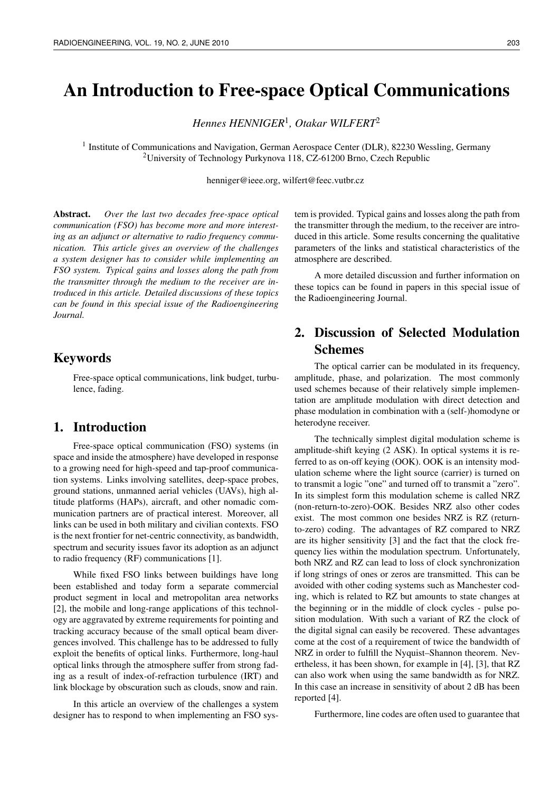# An Introduction to Free-space Optical Communications

*Hennes HENNIGER*<sup>1</sup> *, Otakar WILFERT*<sup>2</sup>

<sup>1</sup> Institute of Communications and Navigation, German Aerospace Center (DLR), 82230 Wessling, Germany <sup>2</sup>University of Technology Purkynova 118, CZ-61200 Brno, Czech Republic

henniger@ieee.org, wilfert@feec.vutbr.cz

Abstract. *Over the last two decades free-space optical communication (FSO) has become more and more interesting as an adjunct or alternative to radio frequency communication. This article gives an overview of the challenges a system designer has to consider while implementing an FSO system. Typical gains and losses along the path from the transmitter through the medium to the receiver are introduced in this article. Detailed discussions of these topics can be found in this special issue of the Radioengineering Journal.*

# Keywords

Free-space optical communications, link budget, turbulence, fading.

# 1. Introduction

Free-space optical communication (FSO) systems (in space and inside the atmosphere) have developed in response to a growing need for high-speed and tap-proof communication systems. Links involving satellites, deep-space probes, ground stations, unmanned aerial vehicles (UAVs), high altitude platforms (HAPs), aircraft, and other nomadic communication partners are of practical interest. Moreover, all links can be used in both military and civilian contexts. FSO is the next frontier for net-centric connectivity, as bandwidth, spectrum and security issues favor its adoption as an adjunct to radio frequency (RF) communications [1].

While fixed FSO links between buildings have long been established and today form a separate commercial product segment in local and metropolitan area networks [2], the mobile and long-range applications of this technology are aggravated by extreme requirements for pointing and tracking accuracy because of the small optical beam divergences involved. This challenge has to be addressed to fully exploit the benefits of optical links. Furthermore, long-haul optical links through the atmosphere suffer from strong fading as a result of index-of-refraction turbulence (IRT) and link blockage by obscuration such as clouds, snow and rain.

In this article an overview of the challenges a system designer has to respond to when implementing an FSO system is provided. Typical gains and losses along the path from the transmitter through the medium, to the receiver are introduced in this article. Some results concerning the qualitative parameters of the links and statistical characteristics of the atmosphere are described.

A more detailed discussion and further information on these topics can be found in papers in this special issue of the Radioengineering Journal.

# 2. Discussion of Selected Modulation Schemes

The optical carrier can be modulated in its frequency, amplitude, phase, and polarization. The most commonly used schemes because of their relatively simple implementation are amplitude modulation with direct detection and phase modulation in combination with a (self-)homodyne or heterodyne receiver.

The technically simplest digital modulation scheme is amplitude-shift keying (2 ASK). In optical systems it is referred to as on-off keying (OOK). OOK is an intensity modulation scheme where the light source (carrier) is turned on to transmit a logic "one" and turned off to transmit a "zero". In its simplest form this modulation scheme is called NRZ (non-return-to-zero)-OOK. Besides NRZ also other codes exist. The most common one besides NRZ is RZ (returnto-zero) coding. The advantages of RZ compared to NRZ are its higher sensitivity [3] and the fact that the clock frequency lies within the modulation spectrum. Unfortunately, both NRZ and RZ can lead to loss of clock synchronization if long strings of ones or zeros are transmitted. This can be avoided with other coding systems such as Manchester coding, which is related to RZ but amounts to state changes at the beginning or in the middle of clock cycles - pulse position modulation. With such a variant of RZ the clock of the digital signal can easily be recovered. These advantages come at the cost of a requirement of twice the bandwidth of NRZ in order to fulfill the Nyquist–Shannon theorem. Nevertheless, it has been shown, for example in [4], [3], that RZ can also work when using the same bandwidth as for NRZ. In this case an increase in sensitivity of about 2 dB has been reported [4].

Furthermore, line codes are often used to guarantee that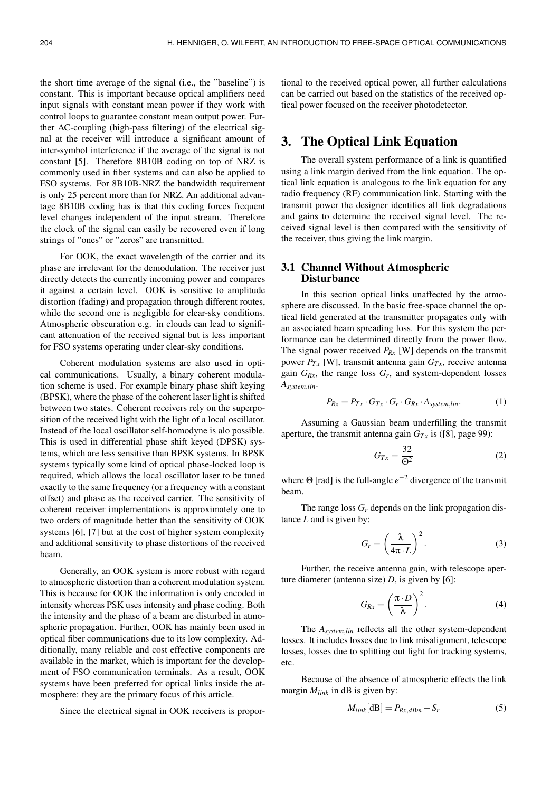the short time average of the signal (i.e., the "baseline") is constant. This is important because optical amplifiers need input signals with constant mean power if they work with control loops to guarantee constant mean output power. Further AC-coupling (high-pass filtering) of the electrical signal at the receiver will introduce a significant amount of inter-symbol interference if the average of the signal is not constant [5]. Therefore 8B10B coding on top of NRZ is commonly used in fiber systems and can also be applied to FSO systems. For 8B10B-NRZ the bandwidth requirement is only 25 percent more than for NRZ. An additional advantage 8B10B coding has is that this coding forces frequent level changes independent of the input stream. Therefore the clock of the signal can easily be recovered even if long strings of "ones" or "zeros" are transmitted.

For OOK, the exact wavelength of the carrier and its phase are irrelevant for the demodulation. The receiver just directly detects the currently incoming power and compares it against a certain level. OOK is sensitive to amplitude distortion (fading) and propagation through different routes, while the second one is negligible for clear-sky conditions. Atmospheric obscuration e.g. in clouds can lead to significant attenuation of the received signal but is less important for FSO systems operating under clear-sky conditions.

Coherent modulation systems are also used in optical communications. Usually, a binary coherent modulation scheme is used. For example binary phase shift keying (BPSK), where the phase of the coherent laser light is shifted between two states. Coherent receivers rely on the superposition of the received light with the light of a local oscillator. Instead of the local oscillator self-homodyne is alo possible. This is used in differential phase shift keyed (DPSK) systems, which are less sensitive than BPSK systems. In BPSK systems typically some kind of optical phase-locked loop is required, which allows the local oscillator laser to be tuned exactly to the same frequency (or a frequency with a constant offset) and phase as the received carrier. The sensitivity of coherent receiver implementations is approximately one to two orders of magnitude better than the sensitivity of OOK systems [6], [7] but at the cost of higher system complexity and additional sensitivity to phase distortions of the received beam.

Generally, an OOK system is more robust with regard to atmospheric distortion than a coherent modulation system. This is because for OOK the information is only encoded in intensity whereas PSK uses intensity and phase coding. Both the intensity and the phase of a beam are disturbed in atmospheric propagation. Further, OOK has mainly been used in optical fiber communications due to its low complexity. Additionally, many reliable and cost effective components are available in the market, which is important for the development of FSO communication terminals. As a result, OOK systems have been preferred for optical links inside the atmosphere: they are the primary focus of this article.

Since the electrical signal in OOK receivers is propor-

tional to the received optical power, all further calculations can be carried out based on the statistics of the received optical power focused on the receiver photodetector.

### 3. The Optical Link Equation

The overall system performance of a link is quantified using a link margin derived from the link equation. The optical link equation is analogous to the link equation for any radio frequency (RF) communication link. Starting with the transmit power the designer identifies all link degradations and gains to determine the received signal level. The received signal level is then compared with the sensitivity of the receiver, thus giving the link margin.

### 3.1 Channel Without Atmospheric **Disturbance**

In this section optical links unaffected by the atmosphere are discussed. In the basic free-space channel the optical field generated at the transmitter propagates only with an associated beam spreading loss. For this system the performance can be determined directly from the power flow. The signal power received *PRx* [W] depends on the transmit power  $P_{Tx}$  [W], transmit antenna gain  $G_{Tx}$ , receive antenna gain  $G_{Rx}$ , the range loss  $G_r$ , and system-dependent losses *Asystem*,*lin*.

$$
P_{Rx} = P_{Tx} \cdot G_{Tx} \cdot G_r \cdot G_{Rx} \cdot A_{system, lin}.
$$
 (1)

Assuming a Gaussian beam underfilling the transmit aperture, the transmit antenna gain  $G_{Tx}$  is ([8], page 99):

$$
G_{Tx} = \frac{32}{\Theta^2} \tag{2}
$$

where Θ [rad] is the full-angle *e* <sup>−</sup><sup>2</sup> divergence of the transmit beam.

The range loss *G<sup>r</sup>* depends on the link propagation distance *L* and is given by:

$$
G_r = \left(\frac{\lambda}{4\pi \cdot L}\right)^2.
$$
 (3)

Further, the receive antenna gain, with telescope aperture diameter (antenna size)  $D$ , is given by [6]:

$$
G_{Rx} = \left(\frac{\pi \cdot D}{\lambda}\right)^2.
$$
 (4)

The *Asystem*,*lin* reflects all the other system-dependent losses. It includes losses due to link misalignment, telescope losses, losses due to splitting out light for tracking systems, etc.

Because of the absence of atmospheric effects the link margin *Mlink* in dB is given by:

$$
M_{link}[dB] = P_{Rx,dBm} - S_r \tag{5}
$$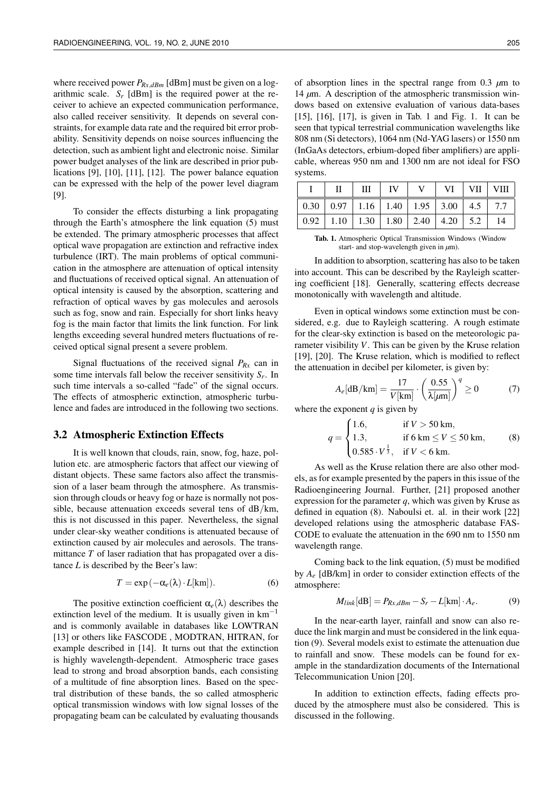where received power  $P_{Rx,dBm}$  [dBm] must be given on a logarithmic scale.  $S_r$  [dBm] is the required power at the receiver to achieve an expected communication performance, also called receiver sensitivity. It depends on several constraints, for example data rate and the required bit error probability. Sensitivity depends on noise sources influencing the detection, such as ambient light and electronic noise. Similar power budget analyses of the link are described in prior publications [9], [10], [11], [12]. The power balance equation can be expressed with the help of the power level diagram [9].

To consider the effects disturbing a link propagating through the Earth's atmosphere the link equation (5) must be extended. The primary atmospheric processes that affect optical wave propagation are extinction and refractive index turbulence (IRT). The main problems of optical communication in the atmosphere are attenuation of optical intensity and fluctuations of received optical signal. An attenuation of optical intensity is caused by the absorption, scattering and refraction of optical waves by gas molecules and aerosols such as fog, snow and rain. Especially for short links heavy fog is the main factor that limits the link function. For link lengths exceeding several hundred meters fluctuations of received optical signal present a severe problem.

Signal fluctuations of the received signal  $P_{Rx}$  can in some time intervals fall below the receiver sensitivity *S<sup>r</sup>* . In such time intervals a so-called "fade" of the signal occurs. The effects of atmospheric extinction, atmospheric turbulence and fades are introduced in the following two sections.

#### 3.2 Atmospheric Extinction Effects

It is well known that clouds, rain, snow, fog, haze, pollution etc. are atmospheric factors that affect our viewing of distant objects. These same factors also affect the transmission of a laser beam through the atmosphere. As transmission through clouds or heavy fog or haze is normally not possible, because attenuation exceeds several tens of dB/km, this is not discussed in this paper. Nevertheless, the signal under clear-sky weather conditions is attenuated because of extinction caused by air molecules and aerosols. The transmittance *T* of laser radiation that has propagated over a distance *L* is described by the Beer's law:

$$
T = \exp(-\alpha_e(\lambda) \cdot L[\text{km}]). \tag{6}
$$

The positive extinction coefficient  $\alpha_e(\lambda)$  describes the extinction level of the medium. It is usually given in  $km^{-1}$ and is commonly available in databases like LOWTRAN [13] or others like FASCODE, MODTRAN, HITRAN, for example described in [14]. It turns out that the extinction is highly wavelength-dependent. Atmospheric trace gases lead to strong and broad absorption bands, each consisting of a multitude of fine absorption lines. Based on the spectral distribution of these bands, the so called atmospheric optical transmission windows with low signal losses of the propagating beam can be calculated by evaluating thousands

of absorption lines in the spectral range from  $0.3 \mu m$  to 14 *µ*m. A description of the atmospheric transmission windows based on extensive evaluation of various data-bases [15], [16], [17], is given in Tab. 1 and Fig. 1. It can be seen that typical terrestrial communication wavelengths like 808 nm (Si detectors), 1064 nm (Nd-YAG lasers) or 1550 nm (InGaAs detectors, erbium-doped fiber amplifiers) are applicable, whereas 950 nm and 1300 nm are not ideal for FSO systems.

|                                                                                         | III | IV |  | $VI$   $VII$   $VIII$ |    |
|-----------------------------------------------------------------------------------------|-----|----|--|-----------------------|----|
| $\vert 0.30 \vert 0.97 \vert 1.16 \vert 1.40 \vert 1.95 \vert 3.00 \vert 4.5 \vert 7.7$ |     |    |  |                       |    |
| $\vert 0.92 \vert 1.10 \vert 1.30 \vert 1.80 \vert 2.40 \vert 4.20 \vert 5.2$           |     |    |  |                       | 14 |

Tab. 1. Atmospheric Optical Transmission Windows (Window start- and stop-wavelength given in *µ*m).

In addition to absorption, scattering has also to be taken into account. This can be described by the Rayleigh scattering coefficient [18]. Generally, scattering effects decrease monotonically with wavelength and altitude.

Even in optical windows some extinction must be considered, e.g. due to Rayleigh scattering. A rough estimate for the clear-sky extinction is based on the meteorologic parameter visibility *V*. This can be given by the Kruse relation [19], [20]. The Kruse relation, which is modified to reflect the attenuation in decibel per kilometer, is given by:

$$
A_e[\text{dB}/\text{km}] = \frac{17}{V[\text{km}]} \cdot \left(\frac{0.55}{\lambda[\mu \text{m}]} \right)^q \ge 0 \tag{7}
$$

where the exponent *q* is given by

$$
q = \begin{cases} 1.6, & \text{if } V > 50 \text{ km}, \\ 1.3, & \text{if } 6 \text{ km } \le V \le 50 \text{ km}, \\ 0.585 \cdot V^{\frac{1}{3}}, & \text{if } V < 6 \text{ km}. \end{cases}
$$
 (8)

As well as the Kruse relation there are also other models, as for example presented by the papers in this issue of the Radioengineering Journal. Further, [21] proposed another expression for the parameter *q*, which was given by Kruse as defined in equation (8). Naboulsi et. al. in their work [22] developed relations using the atmospheric database FAS-CODE to evaluate the attenuation in the 690 nm to 1550 nm wavelength range.

Coming back to the link equation, (5) must be modified by *A<sup>e</sup>* [dB/km] in order to consider extinction effects of the atmosphere:

$$
M_{link}[dB] = P_{Rx,dBm} - S_r - L[km] \cdot A_e.
$$
 (9)

In the near-earth layer, rainfall and snow can also reduce the link margin and must be considered in the link equation (9). Several models exist to estimate the attenuation due to rainfall and snow. These models can be found for example in the standardization documents of the International Telecommunication Union [20].

In addition to extinction effects, fading effects produced by the atmosphere must also be considered. This is discussed in the following.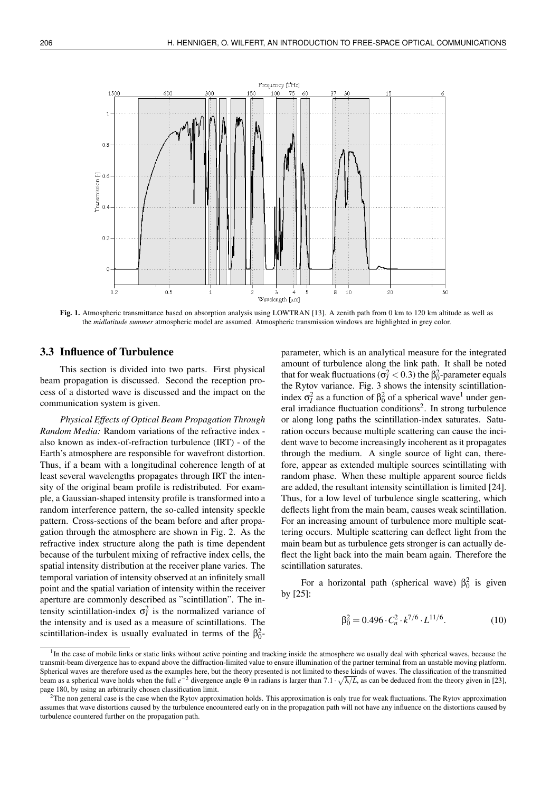

Fig. 1. Atmospheric transmittance based on absorption analysis using LOWTRAN [13]. A zenith path from 0 km to 120 km altitude as well as the *midlatitude summer* atmospheric model are assumed. Atmospheric transmission windows are highlighted in grey color.

### 3.3 Influence of Turbulence

This section is divided into two parts. First physical beam propagation is discussed. Second the reception process of a distorted wave is discussed and the impact on the communication system is given.

*Physical Effects of Optical Beam Propagation Through Random Media:* Random variations of the refractive index also known as index-of-refraction turbulence (IRT) - of the Earth's atmosphere are responsible for wavefront distortion. Thus, if a beam with a longitudinal coherence length of at least several wavelengths propagates through IRT the intensity of the original beam profile is redistributed. For example, a Gaussian-shaped intensity profile is transformed into a random interference pattern, the so-called intensity speckle pattern. Cross-sections of the beam before and after propagation through the atmosphere are shown in Fig. 2. As the refractive index structure along the path is time dependent because of the turbulent mixing of refractive index cells, the spatial intensity distribution at the receiver plane varies. The temporal variation of intensity observed at an infinitely small point and the spatial variation of intensity within the receiver aperture are commonly described as "scintillation". The intensity scintillation-index  $\sigma_l^2$  is the normalized variance of the intensity and is used as a measure of scintillations. The scintillation-index is usually evaluated in terms of the  $\beta_0^2$ - parameter, which is an analytical measure for the integrated amount of turbulence along the link path. It shall be noted that for weak fluctuations ( $\sigma_l^2 < 0.3$ ) the  $\beta_0^2$ -parameter equals the Rytov variance. Fig. 3 shows the intensity scintillationindex  $σ<sub>I</sub><sup>2</sup>$  as a function of  $β<sub>0</sub><sup>2</sup>$  of a spherical wave<sup>1</sup> under general irradiance fluctuation conditions<sup>2</sup>. In strong turbulence or along long paths the scintillation-index saturates. Saturation occurs because multiple scattering can cause the incident wave to become increasingly incoherent as it propagates through the medium. A single source of light can, therefore, appear as extended multiple sources scintillating with random phase. When these multiple apparent source fields are added, the resultant intensity scintillation is limited [24]. Thus, for a low level of turbulence single scattering, which deflects light from the main beam, causes weak scintillation. For an increasing amount of turbulence more multiple scattering occurs. Multiple scattering can deflect light from the main beam but as turbulence gets stronger is can actually deflect the light back into the main beam again. Therefore the scintillation saturates.

For a horizontal path (spherical wave)  $\beta_0^2$  is given by [25]:

$$
\beta_0^2 = 0.496 \cdot C_n^2 \cdot k^{7/6} \cdot L^{11/6}.
$$
 (10)

<sup>&</sup>lt;sup>1</sup>In the case of mobile links or static links without active pointing and tracking inside the atmosphere we usually deal with spherical waves, because the transmit-beam divergence has to expand above the diffraction-limited value to ensure illumination of the partner terminal from an unstable moving platform. Spherical waves are therefore used as the examples here, but the theory presented is not limited to these kinds of waves. The classification of the transmitted beam as a spherical wave holds when the full  $e^{-2}$  divergence angle  $\Theta$  in radians is larger than  $7.1 \cdot \sqrt{\lambda/L}$ , as can be deduced from the theory given in [23], page 180, by using an arbitrarily chosen classification limit.

 ${}^{2}$ The non general case is the case when the Rytov approximation holds. This approximation is only true for weak fluctuations. The Rytov approximation assumes that wave distortions caused by the turbulence encountered early on in the propagation path will not have any influence on the distortions caused by turbulence countered further on the propagation path.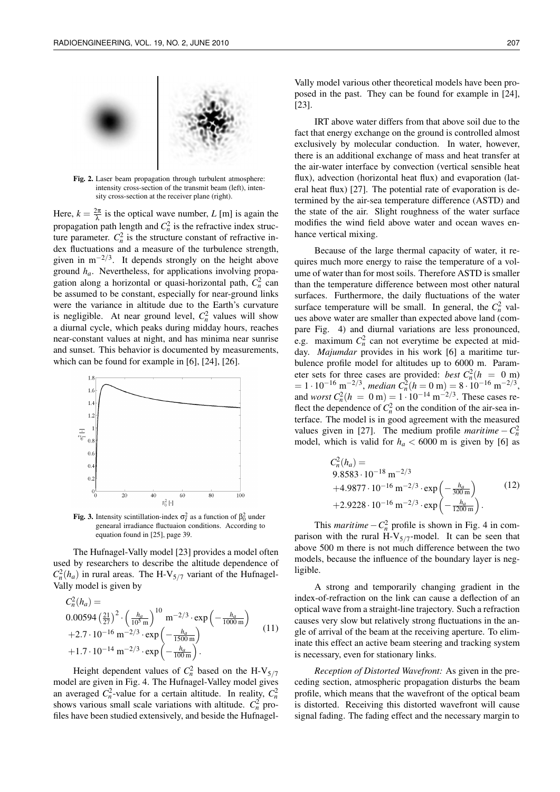

Fig. 2. Laser beam propagation through turbulent atmosphere: intensity cross-section of the transmit beam (left), intensity cross-section at the receiver plane (right).

Here,  $k = \frac{2\pi}{\lambda}$  is the optical wave number, *L* [m] is again the propagation path length and  $C_n^2$  is the refractive index structure parameter.  $C_n^2$  is the structure constant of refractive index fluctuations and a measure of the turbulence strength, given in  $m^{-2/3}$ . It depends strongly on the height above ground *ha*. Nevertheless, for applications involving propagation along a horizontal or quasi-horizontal path,  $C_n^2$  can be assumed to be constant, especially for near-ground links were the variance in altitude due to the Earth's curvature is negligible. At near ground level,  $C_n^2$  values will show a diurnal cycle, which peaks during midday hours, reaches near-constant values at night, and has minima near sunrise and sunset. This behavior is documented by measurements, which can be found for example in [6], [24], [26].



**Fig. 3.** Intensity scintillation-index  $\sigma_l^2$  as a function of  $\beta_0^2$  under genearal irradiance fluctuaion conditions. According to equation found in [25], page 39.

The Hufnagel-Vally model [23] provides a model often used by researchers to describe the altitude dependence of  $C_n^2(h_a)$  in rural areas. The H-V<sub>5/7</sub> variant of the Hufnagel-Vally model is given by

$$
C_n^2(h_a) =
$$
  
\n
$$
0.00594 \left(\frac{21}{27}\right)^2 \cdot \left(\frac{h_a}{10^5 \text{ m}}\right)^{10} \text{ m}^{-2/3} \cdot \exp\left(-\frac{h_a}{1000 \text{ m}}\right)
$$
  
\n
$$
+2.7 \cdot 10^{-16} \text{ m}^{-2/3} \cdot \exp\left(-\frac{h_a}{1500 \text{ m}}\right)
$$
  
\n
$$
+1.7 \cdot 10^{-14} \text{ m}^{-2/3} \cdot \exp\left(-\frac{h_a}{100 \text{ m}}\right).
$$
\n(11)

Height dependent values of  $C_n^2$  based on the H-V<sub>5/7</sub> model are given in Fig. 4. The Hufnagel-Valley model gives an averaged  $C_n^2$ -value for a certain altitude. In reality,  $C_n^2$ shows various small scale variations with altitude.  $C_n^2$  profiles have been studied extensively, and beside the Hufnagel-

Vally model various other theoretical models have been proposed in the past. They can be found for example in [24], [23].

IRT above water differs from that above soil due to the fact that energy exchange on the ground is controlled almost exclusively by molecular conduction. In water, however, there is an additional exchange of mass and heat transfer at the air-water interface by convection (vertical sensible heat flux), advection (horizontal heat flux) and evaporation (lateral heat flux) [27]. The potential rate of evaporation is determined by the air-sea temperature difference (ASTD) and the state of the air. Slight roughness of the water surface modifies the wind field above water and ocean waves enhance vertical mixing.

Because of the large thermal capacity of water, it requires much more energy to raise the temperature of a volume of water than for most soils. Therefore ASTD is smaller than the temperature difference between most other natural surfaces. Furthermore, the daily fluctuations of the water surface temperature will be small. In general, the  $C_n^2$  values above water are smaller than expected above land (compare Fig. 4) and diurnal variations are less pronounced, e.g. maximum  $C_n^2$  can not everytime be expected at midday. *Majumdar* provides in his work [6] a maritime turbulence profile model for altitudes up to 6000 m. Parameter sets for three cases are provided: *best*  $C_n^2(h) = 0$  m)  $= 1 \cdot 10^{-16} \text{ m}^{-2/3}, \text{ median } C_n^2 (h = 0 \text{ m}) = 8 \cdot 10^{-16} \text{ m}^{-2/3},$ and *worst*  $C_n^2(h = 0 \text{ m}) = 1 \cdot 10^{-14} \text{ m}^{-2/3}$ . These cases reflect the dependence of  $C_n^2$  on the condition of the air-sea interface. The model is in good agreement with the measured values given in [27]. The medium profile *maritime*  $-C_n^2$ model, which is valid for  $h_a < 6000$  m is given by [6] as

$$
C_n^2(h_a) =
$$
  
\n9.8583 \cdot 10^{-18} m<sup>-2/3</sup>  
\n+4.9877 \cdot 10^{-16} m<sup>-2/3</sup> \cdot exp $\left(-\frac{h_a}{300 m}\right)$   
\n+2.9228 \cdot 10<sup>-16</sup> m<sup>-2/3</sup> \cdot exp $\left(-\frac{h_a}{1200 m}\right)$ . (12)

This *maritime*  $-C_n^2$  profile is shown in Fig. 4 in comparison with the rural  $H-V_{5/7}$ -model. It can be seen that above 500 m there is not much difference between the two models, because the influence of the boundary layer is negligible.

A strong and temporarily changing gradient in the index-of-refraction on the link can cause a deflection of an optical wave from a straight-line trajectory. Such a refraction causes very slow but relatively strong fluctuations in the angle of arrival of the beam at the receiving aperture. To eliminate this effect an active beam steering and tracking system is necessary, even for stationary links.

*Reception of Distorted Wavefront:* As given in the preceding section, atmospheric propagation disturbs the beam profile, which means that the wavefront of the optical beam is distorted. Receiving this distorted wavefront will cause signal fading. The fading effect and the necessary margin to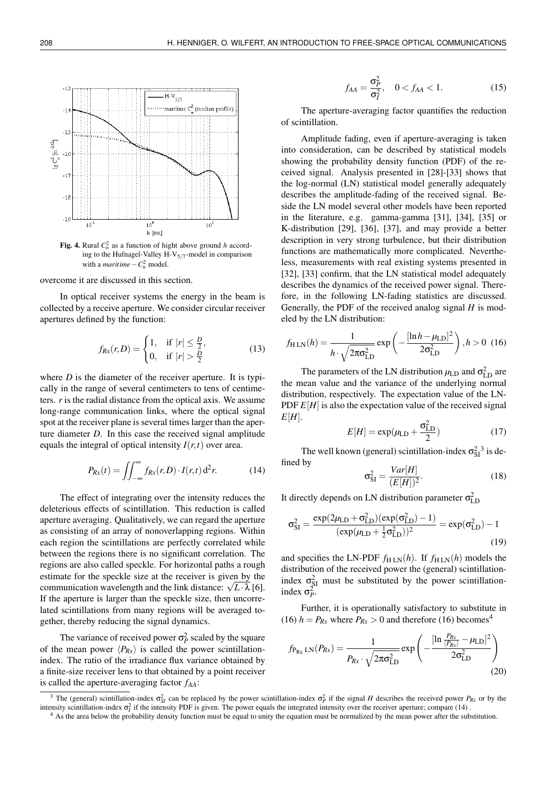

**Fig. 4.** Rural  $C_n^2$  as a function of hight above ground *h* according to the Hufnagel-Valley  $H-V_{5/7}$ -model in comparison with a *maritime*  $-C_n^2$  model.

overcome it are discussed in this section.

In optical receiver systems the energy in the beam is collected by a receive aperture. We consider circular receiver apertures defined by the function:

$$
f_{Rx}(r,D) = \begin{cases} 1, & \text{if } |r| \leq \frac{D}{2}, \\ 0, & \text{if } |r| > \frac{D}{2} \end{cases}
$$
(13)

where *D* is the diameter of the receiver aperture. It is typically in the range of several centimeters to tens of centimeters. *r* is the radial distance from the optical axis. We assume long-range communication links, where the optical signal spot at the receiver plane is several times larger than the aperture diameter *D*. In this case the received signal amplitude equals the integral of optical intensity  $I(r,t)$  over area.

$$
P_{Rx}(t) = \iint_{-\infty}^{\infty} f_{Rx}(r, D) \cdot I(r, t) d^2r.
$$
 (14)

The effect of integrating over the intensity reduces the deleterious effects of scintillation. This reduction is called aperture averaging. Qualitatively, we can regard the aperture as consisting of an array of nonoverlapping regions. Within each region the scintillations are perfectly correlated while between the regions there is no significant correlation. The regions are also called speckle. For horizontal paths a rough estimate for the speckle size at the receiver is given by the estimate for the speckle size at the receiver is given by the communication wavelength and the link distance:  $\sqrt{L} \cdot \lambda$  [6]. If the aperture is larger than the speckle size, then uncorrelated scintillations from many regions will be averaged together, thereby reducing the signal dynamics.

The variance of received power  $\sigma_P^2$  scaled by the square of the mean power  $\langle P_{Rx} \rangle$  is called the power scintillationindex. The ratio of the irradiance flux variance obtained by a finite-size receiver lens to that obtained by a point receiver is called the aperture-averaging factor *fAA*:

$$
f_{AA} = \frac{\sigma_P^2}{\sigma_I^2}, \quad 0 < f_{AA} < 1. \tag{15}
$$

The aperture-averaging factor quantifies the reduction of scintillation.

Amplitude fading, even if aperture-averaging is taken into consideration, can be described by statistical models showing the probability density function (PDF) of the received signal. Analysis presented in [28]-[33] shows that the log-normal (LN) statistical model generally adequately describes the amplitude-fading of the received signal. Beside the LN model several other models have been reported in the literature, e.g. gamma-gamma [31], [34], [35] or K-distribution [29], [36], [37], and may provide a better description in very strong turbulence, but their distribution functions are mathematically more complicated. Nevertheless, measurements with real existing systems presented in [32], [33] confirm, that the LN statistical model adequately describes the dynamics of the received power signal. Therefore, in the following LN-fading statistics are discussed. Generally, the PDF of the received analog signal *H* is modeled by the LN distribution:

$$
f_{\rm H\,LN}(h) = \frac{1}{h \cdot \sqrt{2\pi\sigma_{\rm LD}^2}} \exp\left(-\frac{[\ln h - \mu_{\rm LD}]^2}{2\sigma_{\rm LD}^2}\right), h > 0 \tag{16}
$$

The parameters of the LN distribution  $\mu_{\text{LD}}$  and  $\sigma_{\text{LD}}^2$  are the mean value and the variance of the underlying normal distribution, respectively. The expectation value of the LN-PDF  $E[H]$  is also the expectation value of the received signal  $E[H]$ .

$$
E[H] = \exp(\mu_{\rm LD} + \frac{\sigma_{\rm LD}^2}{2})
$$
 (17)

The well known (general) scintillation-index  $\sigma_{SI}^2$ <sup>3</sup> is defined by

$$
\sigma_{\rm SI}^2 = \frac{Var[H]}{(E[H])^2}.\tag{18}
$$

It directly depends on LN distribution parameter  $\sigma_{\text{LD}}^2$ 

$$
\sigma_{SI}^2 = \frac{\exp(2\mu_{LD} + \sigma_{LD}^2)(\exp(\sigma_{LD}^2) - 1)}{(\exp(\mu_{LD} + \frac{1}{2}\sigma_{LD}^2))^2} = \exp(\sigma_{LD}^2) - 1
$$
\n(19)

and specifies the LN-PDF  $f_{\text{H LN}}(h)$ . If  $f_{\text{H LN}}(h)$  models the distribution of the received power the (general) scintillationindex  $\sigma_{SI}^2$  must be substituted by the power scintillationindex  $\sigma_P^2$ .

Further, it is operationally satisfactory to substitute in (16)  $h = P_{Rx}$  where  $P_{Rx} > 0$  and therefore (16) becomes<sup>4</sup>

$$
f_{P_{Rx}LN}(P_{Rx}) = \frac{1}{P_{Rx} \cdot \sqrt{2\pi\sigma_{LD}^2}} \exp\left(-\frac{[\ln \frac{P_{Rx}}{(P_{Rx})} - \mu_{LD}]^2}{2\sigma_{LD}^2}\right)
$$
(20)

<sup>&</sup>lt;sup>3</sup> The (general) scintillation-index  $\sigma_{SI}^2$  can be replaced by the power scintillation-index  $\sigma_P^2$  if the signal *H* describes the received power *P<sub>Rx</sub>* or by the intensity scintillation-index  $\sigma_l^2$  if the intensity PDF is given. The power equals the integrated intensity over the receiver aperture; compare (14).

<sup>&</sup>lt;sup>4</sup> As the area below the probability density function must be equal to unity the equation must be normalized by the mean power after the substitution.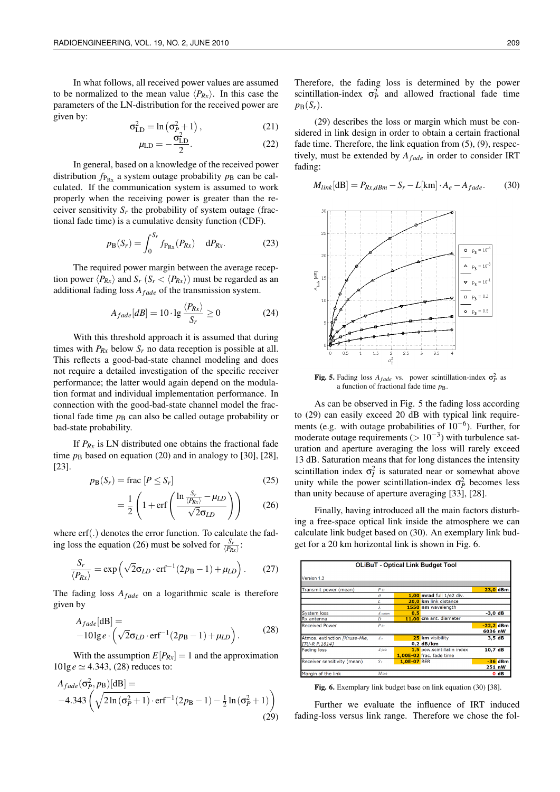In what follows, all received power values are assumed to be normalized to the mean value  $\langle P_{Rx} \rangle$ . In this case the parameters of the LN-distribution for the received power are given by:

$$
\sigma_{\text{LD}}^2 = \ln\left(\sigma_{P_2}^2 + 1\right),\tag{21}
$$

$$
\mu_{\rm LD} = -\frac{\sigma_{\rm LD}^2}{2}.
$$
 (22)

In general, based on a knowledge of the received power distribution  $f_{P_{Rx}}$  a system outage probability  $p_B$  can be calculated. If the communication system is assumed to work properly when the receiving power is greater than the receiver sensitivity  $S_r$  the probability of system outage (fractional fade time) is a cumulative density function (CDF).

$$
p_{\rm B}(S_r) = \int_0^{S_r} f_{P_{\rm Rx}}(P_{Rx}) \, dP_{Rx}.\tag{23}
$$

The required power margin between the average reception power  $\langle P_{Rx} \rangle$  and  $S_r$  ( $S_r < \langle P_{Rx} \rangle$ ) must be regarded as an additional fading loss  $A_{\text{fade}}$  of the transmission system.

$$
A_{\text{fade}}[dB] = 10 \cdot \lg \frac{\langle P_{Rx} \rangle}{S_r} \ge 0 \tag{24}
$$

With this threshold approach it is assumed that during times with  $P_{Rx}$  below  $S_r$  no data reception is possible at all. This reflects a good-bad-state channel modeling and does not require a detailed investigation of the specific receiver performance; the latter would again depend on the modulation format and individual implementation performance. In connection with the good-bad-state channel model the fractional fade time  $p<sub>B</sub>$  can also be called outage probability or bad-state probability.

If  $P_{Rx}$  is LN distributed one obtains the fractional fade time  $p<sub>B</sub>$  based on equation (20) and in analogy to [30], [28], [23].

$$
p_{\mathbf{B}}(S_r) = \text{frac}[P \le S_r] \tag{25}
$$

$$
= \frac{1}{2} \left( 1 + \text{erf}\left( \frac{\ln \frac{S_r}{\langle P_{Rx} \rangle} - \mu_{LD}}{\sqrt{2} \sigma_{LD}} \right) \right) \tag{26}
$$

where erf(.) denotes the error function. To calculate the fading loss the equation (26) must be solved for  $\frac{S_r}{\langle P_{Rx} \rangle}$ :

$$
\frac{S_r}{\langle P_{Rx} \rangle} = \exp\left(\sqrt{2}\sigma_{LD} \cdot \text{erf}^{-1}(2p_B - 1) + \mu_{LD}\right). \tag{27}
$$

The fading loss  $A_{\text{fade}}$  on a logarithmic scale is therefore given by

$$
A_{\text{fade}}[\text{dB}] =
$$
  
-101g e.  $\left(\sqrt{2}\sigma_{LD} \cdot \text{erf}^{-1}(2p_B - 1) + \mu_{LD}\right)$ . (28)

With the assumption  $E[P_{Rx}] = 1$  and the approximation  $10\lg e \simeq 4.343$ , (28) reduces to:

$$
A_{\text{fade}}(\sigma_P^2, p_B)[\text{dB}] =
$$
  
-4.343  $\left(\sqrt{2\ln(\sigma_P^2 + 1)} \cdot \text{erf}^{-1}(2p_B - 1) - \frac{1}{2}\ln(\sigma_P^2 + 1)\right)$  (29)

Therefore, the fading loss is determined by the power scintillation-index  $\sigma_P^2$  and allowed fractional fade time  $p_{\rm B}(S_r)$ .

(29) describes the loss or margin which must be considered in link design in order to obtain a certain fractional fade time. Therefore, the link equation from  $(5)$ ,  $(9)$ , respectively, must be extended by  $A_{\text{fade}}$  in order to consider IRT fading:

$$
M_{link}[dB] = P_{Rx,dBm} - S_r - L[km] \cdot A_e - A_{fade}.
$$
 (30)



Fig. 5. Fading loss  $A_{\text{fade}}$  vs. power scintillation-index  $\sigma_P^2$  as a function of fractional fade time *p*B.

As can be observed in Fig. 5 the fading loss according to (29) can easily exceed 20 dB with typical link requirements (e.g. with outage probabilities of 10−<sup>6</sup> ). Further, for moderate outage requirements  $(> 10^{-3})$  with turbulence saturation and aperture averaging the loss will rarely exceed 13 dB. Saturation means that for long distances the intensity scintillation index  $\sigma_l^2$  is saturated near or somewhat above unity while the power scintillation-index  $\sigma_P^2$  becomes less than unity because of aperture averaging [33], [28].

Finally, having introduced all the main factors disturbing a free-space optical link inside the atmosphere we can calculate link budget based on (30). An exemplary link budget for a 20 km horizontal link is shown in Fig. 6.

| <b>OLIBuT - Optical Link Budget Tool</b> |                    |             |                            |             |                  |  |  |  |  |  |
|------------------------------------------|--------------------|-------------|----------------------------|-------------|------------------|--|--|--|--|--|
| Version 1.3                              |                    |             |                            |             |                  |  |  |  |  |  |
|                                          |                    |             |                            |             |                  |  |  |  |  |  |
| Transmit power (mean)                    | $P_{\mathcal{I}x}$ |             |                            |             | $23.0$ dBm       |  |  |  |  |  |
|                                          | Ĥ                  |             | 1,00 mrad full 1/e2 div.   |             |                  |  |  |  |  |  |
|                                          |                    |             | 20,0 km link distance      |             |                  |  |  |  |  |  |
|                                          |                    |             | 1550 nm wavelength         |             |                  |  |  |  |  |  |
| System loss                              | A system           | 0.5         |                            | -3.0 dB     |                  |  |  |  |  |  |
| Rx antenna                               |                    |             | 11,00 cm ant. diameter     |             |                  |  |  |  |  |  |
| Received Power                           | $P_{Rx}$           |             |                            | $-22,2$ dBm |                  |  |  |  |  |  |
|                                          |                    |             |                            | 6036 nW     |                  |  |  |  |  |  |
| Atmos. extinction [Kruse-Mie,            | Ae                 |             | 25 km visibility           | 3,5dB       |                  |  |  |  |  |  |
| ITU-R P.18141                            |                    |             | $0,2$ dB/km                |             |                  |  |  |  |  |  |
| <b>Fading loss</b>                       | A fade             |             | 1,5 pow.scintillatin index | 10,7 dB     |                  |  |  |  |  |  |
|                                          |                    |             | 1,00E-02 frac. fade time   |             |                  |  |  |  |  |  |
| Receiver sensitivity (mean)              | $S_F$              | 1.0E-07 BER |                            |             | $-36$ dBm        |  |  |  |  |  |
|                                          |                    |             |                            | 251 nW      |                  |  |  |  |  |  |
| Margin of the link                       | $M$ link           |             |                            |             | 0 <sub>d</sub> B |  |  |  |  |  |

Fig. 6. Exemplary link budget base on link equation (30) [38].

Further we evaluate the influence of IRT induced fading-loss versus link range. Therefore we chose the fol-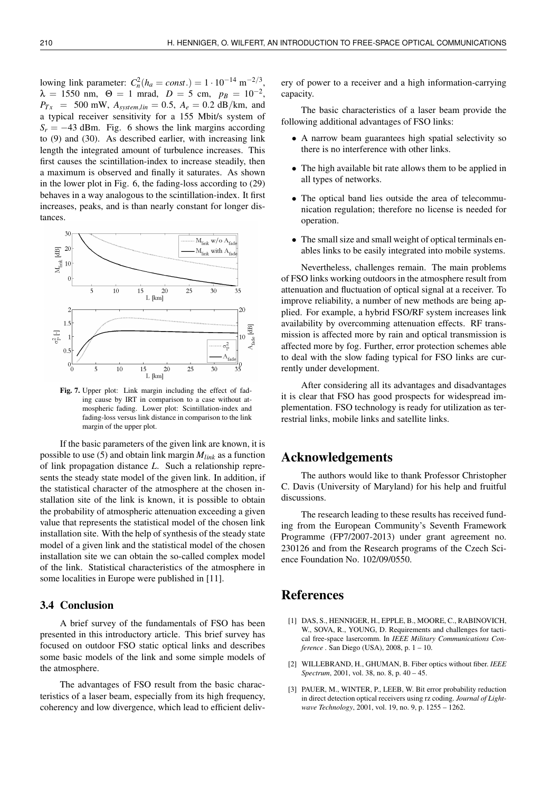lowing link parameter:  $C_n^2(h_a = const.) = 1 \cdot 10^{-14} \text{ m}^{-2/3}$ ,  $\lambda = 1550 \text{ nm}, \ \ \Theta = 1 \text{ mrad}, \ \ D = 5 \text{ cm}, \ \ p_B = 10^{-2},$  $P_{Tx}$  = 500 mW,  $A_{system,lin}$  = 0.5,  $A_e$  = 0.2 dB/km, and a typical receiver sensitivity for a 155 Mbit/s system of  $S_r = -43$  dBm. Fig. 6 shows the link margins according to (9) and (30). As described earlier, with increasing link length the integrated amount of turbulence increases. This first causes the scintillation-index to increase steadily, then a maximum is observed and finally it saturates. As shown in the lower plot in Fig. 6, the fading-loss according to (29) behaves in a way analogous to the scintillation-index. It first increases, peaks, and is than nearly constant for longer distances.



Fig. 7. Upper plot: Link margin including the effect of fading cause by IRT in comparison to a case without atmospheric fading. Lower plot: Scintillation-index and fading-loss versus link distance in comparison to the link margin of the upper plot.

If the basic parameters of the given link are known, it is possible to use (5) and obtain link margin *Mlink* as a function of link propagation distance *L*. Such a relationship represents the steady state model of the given link. In addition, if the statistical character of the atmosphere at the chosen installation site of the link is known, it is possible to obtain the probability of atmospheric attenuation exceeding a given value that represents the statistical model of the chosen link installation site. With the help of synthesis of the steady state model of a given link and the statistical model of the chosen installation site we can obtain the so-called complex model of the link. Statistical characteristics of the atmosphere in some localities in Europe were published in [11].

### 3.4 Conclusion

A brief survey of the fundamentals of FSO has been presented in this introductory article. This brief survey has focused on outdoor FSO static optical links and describes some basic models of the link and some simple models of the atmosphere.

The advantages of FSO result from the basic characteristics of a laser beam, especially from its high frequency, coherency and low divergence, which lead to efficient delivery of power to a receiver and a high information-carrying capacity.

The basic characteristics of a laser beam provide the following additional advantages of FSO links:

- A narrow beam guarantees high spatial selectivity so there is no interference with other links.
- The high available bit rate allows them to be applied in all types of networks.
- The optical band lies outside the area of telecommunication regulation; therefore no license is needed for operation.
- The small size and small weight of optical terminals enables links to be easily integrated into mobile systems.

Nevertheless, challenges remain. The main problems of FSO links working outdoors in the atmosphere result from attenuation and fluctuation of optical signal at a receiver. To improve reliability, a number of new methods are being applied. For example, a hybrid FSO/RF system increases link availability by overcomming attenuation effects. RF transmission is affected more by rain and optical transmission is affected more by fog. Further, error protection schemes able to deal with the slow fading typical for FSO links are currently under development.

After considering all its advantages and disadvantages it is clear that FSO has good prospects for widespread implementation. FSO technology is ready for utilization as terrestrial links, mobile links and satellite links.

### Acknowledgements

The authors would like to thank Professor Christopher C. Davis (University of Maryland) for his help and fruitful discussions.

The research leading to these results has received funding from the European Community's Seventh Framework Programme (FP7/2007-2013) under grant agreement no. 230126 and from the Research programs of the Czech Science Foundation No. 102/09/0550.

# References

- [1] DAS, S., HENNIGER, H., EPPLE, B., MOORE, C., RABINOVICH, W., SOVA, R., YOUNG, D. Requirements and challenges for tactical free-space lasercomm. In *IEEE Military Communications Conference .* San Diego (USA), 2008, p. 1 – 10.
- [2] WILLEBRAND, H., GHUMAN, B. Fiber optics without fiber. *IEEE Spectrum*, 2001, vol. 38, no. 8, p. 40 – 45.
- [3] PAUER, M., WINTER, P., LEEB, W. Bit error probability reduction in direct detection optical receivers using rz coding. *Journal of Lightwave Technology*, 2001, vol. 19, no. 9, p. 1255 – 1262.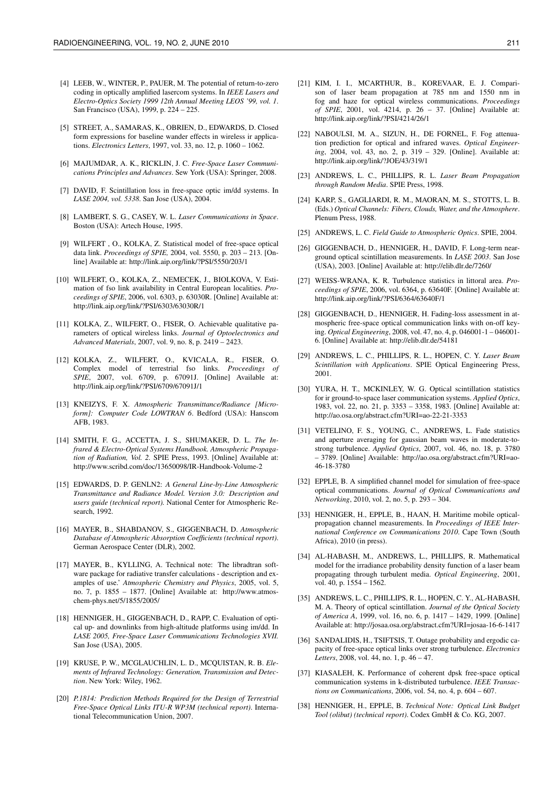- [4] LEEB, W., WINTER, P., PAUER, M. The potential of return-to-zero coding in optically amplified lasercom systems. In *IEEE Lasers and Electro-Optics Society 1999 12th Annual Meeting LEOS '99, vol. 1*. San Francisco (USA), 1999, p. 224 – 225.
- [5] STREET, A., SAMARAS, K., OBRIEN, D., EDWARDS, D. Closed form expressions for baseline wander effects in wireless ir applications. *Electronics Letters*, 1997, vol. 33, no. 12, p. 1060 – 1062.
- [6] MAJUMDAR, A. K., RICKLIN, J. C. *Free-Space Laser Communications Principles and Advances*. Sew York (USA): Springer, 2008.
- [7] DAVID, F. Scintillation loss in free-space optic im/dd systems. In *LASE 2004, vol. 5338*. San Jose (USA), 2004.
- [8] LAMBERT, S. G., CASEY, W. L. *Laser Communications in Space*. Boston (USA): Artech House, 1995.
- [9] WILFERT , O., KOLKA, Z. Statistical model of free-space optical data link. *Proceedings of SPIE,* 2004, vol. 5550, p. 203 – 213. [Online] Available at: http://link.aip.org/link/?PSI/5550/203/1
- [10] WILFERT, O., KOLKA, Z., NEMECEK, J., BIOLKOVA, V. Estimation of fso link availability in Central European localities. *Proceedings of SPIE*, 2006, vol. 6303, p. 63030R. [Online] Available at: http://link.aip.org/link/?PSI/6303/63030R/1
- [11] KOLKA, Z., WILFERT, O., FISER, O. Achievable qualitative parameters of optical wireless links. *Journal of Optoelectronics and Advanced Materials*, 2007, vol. 9, no. 8, p. 2419 – 2423.
- [12] KOLKA, Z., WILFERT, O., KVICALA, R., FISER, O. Complex model of terrestrial fso links. *Proceedings of SPIE*, 2007, vol. 6709, p. 67091J. [Online] Available at: http://link.aip.org/link/?PSI/6709/67091J/1
- [13] KNEIZYS, F. X. *Atmospheric Transmittance/Radiance [Microform]: Computer Code LOWTRAN 6*. Bedford (USA): Hanscom AFB, 1983.
- [14] SMITH, F. G., ACCETTA, J. S., SHUMAKER, D. L. *The Infrared & Electro-Optical Systems Handbook. Atmospheric Propagation of Radiation, Vol. 2.* SPIE Press, 1993. [Online] Available at: http://www.scribd.com/doc/13650098/IR-Handbook-Volume-2
- [15] EDWARDS, D. P. GENLN2: *A General Line-by-Line Atmospheric Transmittance and Radiance Model. Version 3.0: Description and users guide (technical report).* National Center for Atmospheric Research, 1992.
- [16] MAYER, B., SHABDANOV, S., GIGGENBACH, D. *Atmospheric Database of Atmospheric Absorption Coefficients (technical report)*. German Aerospace Center (DLR), 2002.
- [17] MAYER, B., KYLLING, A. Technical note: The libradtran software package for radiative transfer calculations - description and examples of use.' *Atmospheric Chemistry and Physics*, 2005, vol. 5, no. 7, p. 1855 – 1877. [Online] Available at: http://www.atmoschem-phys.net/5/1855/2005/
- [18] HENNIGER, H., GIGGENBACH, D., RAPP, C. Evaluation of optical up- and downlinks from high-altitude platforms using im/dd. In *LASE 2005, Free-Space Laser Communications Technologies XVII.* San Jose (USA), 2005.
- [19] KRUSE, P. W., MCGLAUCHLIN, L. D., MCQUISTAN, R. B. *Elements of Infrared Technology: Generation, Transmission and Detection*. New York: Wiley, 1962.
- [20] *P.1814: Prediction Methods Required for the Design of Terrestrial Free-Space Optical Links ITU-R WP3M (technical report)*. International Telecommunication Union, 2007.
- [21] KIM, I. I., MCARTHUR, B., KOREVAAR, E. J. Comparison of laser beam propagation at 785 nm and 1550 nm in fog and haze for optical wireless communications. *Proceedings of SPIE*, 2001, vol. 4214, p. 26 – 37. [Online] Available at: http://link.aip.org/link/?PSI/4214/26/1
- [22] NABOULSI, M. A., SIZUN, H., DE FORNEL, F. Fog attenuation prediction for optical and infrared waves. *Optical Engineering*, 2004, vol. 43, no. 2, p. 319 – 329. [Online]. Available at: http://link.aip.org/link/?JOE/43/319/1
- [23] ANDREWS, L. C., PHILLIPS, R. L. *Laser Beam Propagation through Random Media*. SPIE Press, 1998.
- [24] KARP, S., GAGLIARDI, R. M., MAORAN, M. S., STOTTS, L. B. (Eds.) *Optical Channels: Fibers, Clouds, Water, and the Atmosphere*. Plenum Press, 1988.
- [25] ANDREWS, L. C. *Field Guide to Atmospheric Optics*. SPIE, 2004.
- [26] GIGGENBACH, D., HENNIGER, H., DAVID, F. Long-term nearground optical scintillation measurements. In *LASE 2003*. San Jose (USA), 2003. [Online] Available at: http://elib.dlr.de/7260/
- [27] WEISS-WRANA, K. R. Turbulence statistics in littoral area. *Proceedings of SPIE*, 2006, vol. 6364, p. 63640F. [Online] Available at: http://link.aip.org/link/?PSI/6364/63640F/1
- [28] GIGGENBACH, D., HENNIGER, H. Fading-loss assessment in atmospheric free-space optical communication links with on-off keying. *Optical Engineering*, 2008, vol. 47, no. 4, p. 046001-1 – 046001- 6. [Online] Available at: http://elib.dlr.de/54181
- [29] ANDREWS, L. C., PHILLIPS, R. L., HOPEN, C. Y. *Laser Beam Scintillation with Applications*. SPIE Optical Engineering Press, 2001.
- [30] YURA, H. T., MCKINLEY, W. G. Optical scintillation statistics for ir ground-to-space laser communication systems. *Applied Optics*, 1983, vol. 22, no. 21, p. 3353 – 3358, 1983. [Online] Available at: http://ao.osa.org/abstract.cfm?URI=ao-22-21-3353
- [31] VETELINO, F. S., YOUNG, C., ANDREWS, L. Fade statistics and aperture averaging for gaussian beam waves in moderate-tostrong turbulence. *Applied Optics*, 2007, vol. 46, no. 18, p. 3780 – 3789. [Online] Available: http://ao.osa.org/abstract.cfm?URI=ao-46-18-3780
- [32] EPPLE, B. A simplified channel model for simulation of free-space optical communications. *Journal of Optical Communications and Networking*, 2010, vol. 2, no. 5, p. 293 – 304.
- [33] HENNIGER, H., EPPLE, B., HAAN, H. Maritime mobile opticalpropagation channel measurements. In *Proceedings of IEEE International Conference on Communications 2010*. Cape Town (South Africa), 2010 (in press).
- [34] AL-HABASH, M., ANDREWS, L., PHILLIPS, R. Mathematical model for the irradiance probability density function of a laser beam propagating through turbulent media. *Optical Engineering*, 2001, vol. 40, p. 1554 – 1562.
- [35] ANDREWS, L. C., PHILLIPS, R. L., HOPEN, C. Y., AL-HABASH, M. A. Theory of optical scintillation. *Journal of the Optical Society of America A*, 1999, vol. 16, no. 6, p. 1417 – 1429, 1999. [Online] Available at: http://josaa.osa.org/abstract.cfm?URI=josaa-16-6-1417
- [36] SANDALIDIS, H., TSIFTSIS, T. Outage probability and ergodic capacity of free-space optical links over strong turbulence. *Electronics Letters*, 2008, vol. 44, no. 1, p. 46 – 47.
- [37] KIASALEH, K. Performance of coherent dpsk free-space optical communication systems in k-distributed turbulence. *IEEE Transactions on Communications*, 2006, vol. 54, no. 4, p. 604 – 607.
- [38] HENNIGER, H., EPPLE, B. *Technical Note: Optical Link Budget Tool (olibut) (technical report)*. Codex GmbH & Co. KG, 2007.